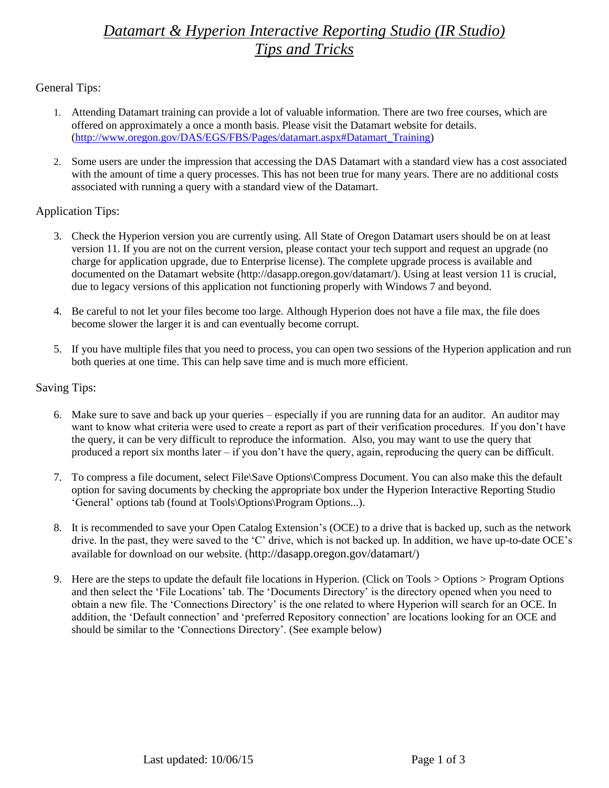# *Datamart & Hyperion Interactive Reporting Studio (IR Studio) Tips and Tricks*

General Tips:

- 1. Attending Datamart training can provide a lot of valuable information. There are two free courses, which are offered on approximately a once a month basis. Please visit the Datamart website for details. [\(http://www.oregon.gov/DAS/EGS/FBS/Pages/datamart.aspx#Datamart\\_Training\)](http://www.oregon.gov/DAS/EGS/FBS/Pages/datamart.aspx#Datamart_Training)
- 2. Some users are under the impression that accessing the DAS Datamart with a standard view has a cost associated with the amount of time a query processes. This has not been true for many years. There are no additional costs associated with running a query with a standard view of the Datamart.

## Application Tips:

- 3. Check the Hyperion version you are currently using. All State of Oregon Datamart users should be on at least version 11. If you are not on the current version, please contact your tech support and request an upgrade (no charge for application upgrade, due to Enterprise license). The complete upgrade process is available and documented on the Datamart website [\(http://dasapp.oregon.gov/datamart/\)](http://dasapp.oregon.gov/datamart/). Using at least version 11 is crucial, due to legacy versions of this application not functioning properly with Windows 7 and beyond.
- 4. Be careful to not let your files become too large. Although Hyperion does not have a file max, the file does become slower the larger it is and can eventually become corrupt.
- 5. If you have multiple files that you need to process, you can open two sessions of the Hyperion application and run both queries at one time. This can help save time and is much more efficient.

## Saving Tips:

- 6. Make sure to save and back up your queries especially if you are running data for an auditor. An auditor may want to know what criteria were used to create a report as part of their verification procedures. If you don't have the query, it can be very difficult to reproduce the information. Also, you may want to use the query that produced a report six months later – if you don't have the query, again, reproducing the query can be difficult.
- 7. To compress a file document, select File\Save Options\Compress Document. You can also make this the default option for saving documents by checking the appropriate box under the Hyperion Interactive Reporting Studio 'General' options tab (found at Tools\Options\Program Options...).
- 8. It is recommended to save your Open Catalog Extension's (OCE) to a drive that is backed up, such as the network drive. In the past, they were saved to the 'C' drive, which is not backed up. In addition, we have up-to-date OCE's available for download on our website. (<http://dasapp.oregon.gov/datamart/>)
- 9. Here are the steps to update the default file locations in Hyperion. (Click on Tools > Options > Program Options and then select the 'File Locations' tab. The 'Documents Directory' is the directory opened when you need to obtain a new file. The 'Connections Directory' is the one related to where Hyperion will search for an OCE. In addition, the 'Default connection' and 'preferred Repository connection' are locations looking for an OCE and should be similar to the 'Connections Directory'. (See example below)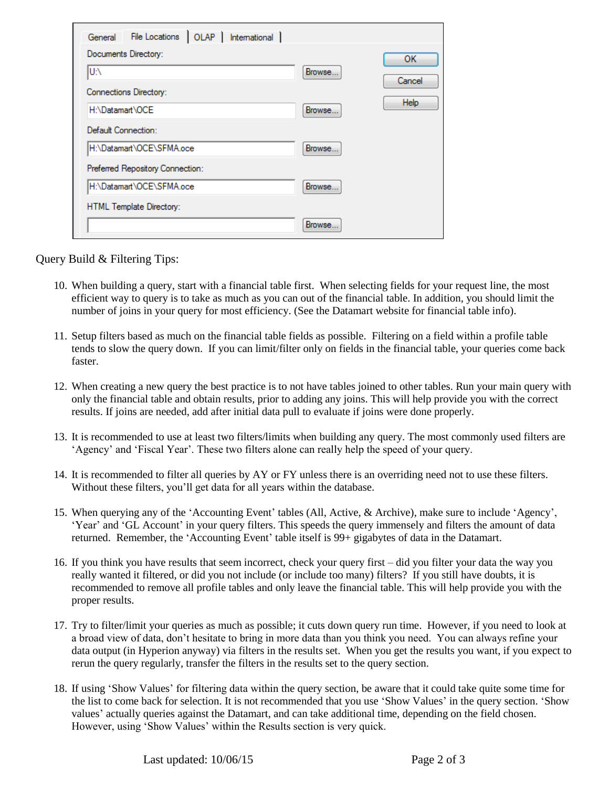| File Locations   OLAP   International  <br>General |         |           |
|----------------------------------------------------|---------|-----------|
| Documents Directory:                               |         | <b>OK</b> |
| IU:\                                               | Browse  | Cancel    |
| Connections Directory:                             |         |           |
| H:\Datamart\OCE                                    | Browse. | Help      |
| Default Connection:                                |         |           |
| H:\Datamart\OCE\SFMA.oce                           | Browse  |           |
| Preferred Repository Connection:                   |         |           |
| H:\Datamart\OCE\SFMA.oce                           | Browse  |           |
| HTML Template Directory:                           |         |           |
|                                                    | Browse. |           |

### Query Build & Filtering Tips:

- 10. When building a query, start with a financial table first. When selecting fields for your request line, the most efficient way to query is to take as much as you can out of the financial table. In addition, you should limit the number of joins in your query for most efficiency. (See the Datamart website for financial table info).
- 11. Setup filters based as much on the financial table fields as possible. Filtering on a field within a profile table tends to slow the query down. If you can limit/filter only on fields in the financial table, your queries come back faster.
- 12. When creating a new query the best practice is to not have tables joined to other tables. Run your main query with only the financial table and obtain results, prior to adding any joins. This will help provide you with the correct results. If joins are needed, add after initial data pull to evaluate if joins were done properly.
- 13. It is recommended to use at least two filters/limits when building any query. The most commonly used filters are 'Agency' and 'Fiscal Year'. These two filters alone can really help the speed of your query.
- 14. It is recommended to filter all queries by AY or FY unless there is an overriding need not to use these filters. Without these filters, you'll get data for all years within the database.
- 15. When querying any of the 'Accounting Event' tables (All, Active, & Archive), make sure to include 'Agency', 'Year' and 'GL Account' in your query filters. This speeds the query immensely and filters the amount of data returned. Remember, the 'Accounting Event' table itself is 99+ gigabytes of data in the Datamart.
- 16. If you think you have results that seem incorrect, check your query first did you filter your data the way you really wanted it filtered, or did you not include (or include too many) filters? If you still have doubts, it is recommended to remove all profile tables and only leave the financial table. This will help provide you with the proper results.
- 17. Try to filter/limit your queries as much as possible; it cuts down query run time. However, if you need to look at a broad view of data, don't hesitate to bring in more data than you think you need. You can always refine your data output (in Hyperion anyway) via filters in the results set. When you get the results you want, if you expect to rerun the query regularly, transfer the filters in the results set to the query section.
- 18. If using 'Show Values' for filtering data within the query section, be aware that it could take quite some time for the list to come back for selection. It is not recommended that you use 'Show Values' in the query section. 'Show values' actually queries against the Datamart, and can take additional time, depending on the field chosen. However, using 'Show Values' within the Results section is very quick.